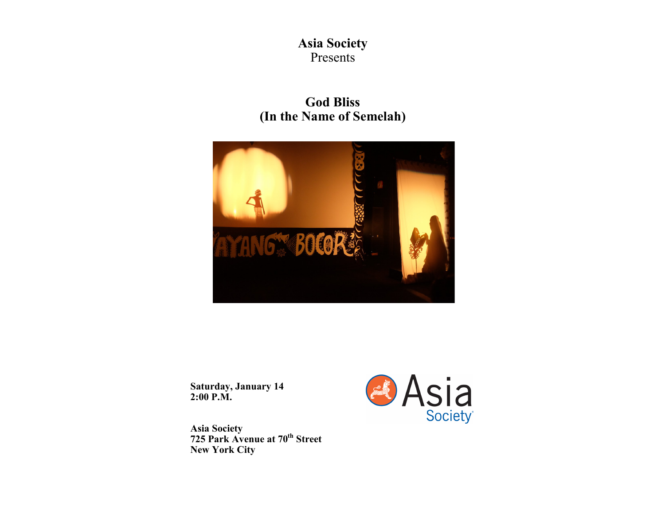## **Asia Society**  Presents

# **God Bliss (In the Name of Semelah)**



**Saturday, January 14 2:00 P.M.**

**Asia Society 725 Park Avenue at 70th Street New York City**

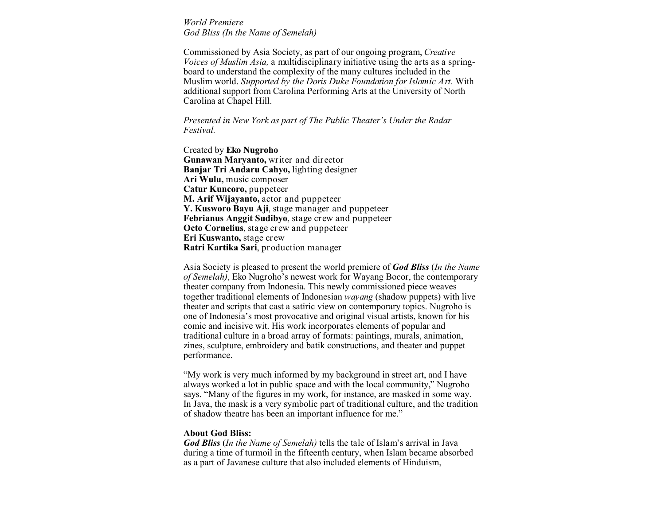*World Premiere God Bliss (In the Name of Semelah)*

Commissioned by Asia Society, as part of our ongoing program, *Creative Voices of Muslim Asia,* a multidisciplinary initiative using the arts as a springboard to understand the complexity of the many cultures included in the Muslim world. *Supported by the Doris Duke Foundation for Islamic Art.* With additional support from [Carolina Performing Arts](https://www.carolinaperformingarts.org/) at the University of North Carolina at Chapel Hill.

*Presented in New York as part of The Public Theater's [Under the Radar](http://www.publictheater.org/Programs--Events/Under-the-Radar-Festival/) [Festival.](http://www.publictheater.org/Programs--Events/Under-the-Radar-Festival/)*

Created by **Eko Nugroho Gunawan Maryanto,** writer and director **Banjar Tri Andaru Cahyo,** lighting designer **Ari Wulu,** music composer **Catur Kuncoro,** puppeteer **M. Arif Wijayanto,** actor and puppeteer **Y. Kusworo Bayu Aji**, stage manager and puppeteer **Febrianus Anggit Sudibyo**, stage crew and puppeteer **Octo Cornelius**, stage crew and puppeteer **Eri Kuswanto,** stage crew **Ratri Kartika Sari**, production manager

Asia Society is pleased to present the world premiere of *God Bliss* (*In the Name of Semelah)*, Eko Nugroho's newest work for Wayang Bocor, the contemporary theater company from Indonesia. This newly commissioned piece weaves together traditional elements of Indonesian *wayang* (shadow puppets) with live theater and scripts that cast a satiric view on contemporary topics. Nugroho is one of Indonesia's most provocative and original visual artists, known for his comic and incisive wit. His work incorporates elements of popular and traditional culture in a broad array of formats: paintings, murals, animation, zines, sculpture, embroidery and batik constructions, and theater and puppet performance.

"My work is very much informed by my background in street art, and I have always worked a lot in public space and with the local community," Nugroho says. "Many of the figures in my work, for instance, are masked in some way. In Java, the mask is a very symbolic part of traditional culture, and the tradition of shadow theatre has been an important influence for me."

### **About God Bliss:**

*God Bliss* (*In the Name of Semelah)* tells the tale of Islam's arrival in Java during a time of turmoil in the fifteenth century, when Islam became absorbed as a part of Javanese culture that also included elements of Hinduism,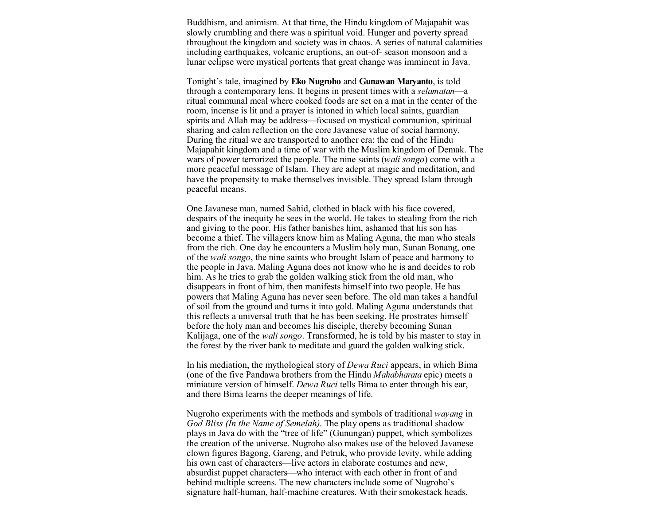Buddhism, and animism. At that time, the Hindu kingdom of Majapahit was slowly crumbling and there was a spiritual void. Hunger and poverty spread throughout the kingdom and society was in chaos. A series of natural calamities including earthquakes, volcanic eruptions, an out-of- season monsoon and a lunar eclipse were mystical portents that great change was imminent in Java.

Tonight's tale, imagined by **Eko Nugroho** and **Gunawan Maryanto**, is told through a contemporary lens. It begins in present times with a *selamatan*—a ritual communal meal where cooked foods are set on a mat in the center of the room, incense is lit and a prayer is intoned in which local saints, guardian spirits and Allah may be address—focused on mystical communion, spiritual sharing and calm reflection on the core Javanese value of social harmony. During the ritual we are transported to another era: the end of the Hindu Majapahit kingdom and a time of war with the Muslim kingdom of Demak. The wars of power terrorized the people. The nine saints (*wali songo*) come with a more peaceful message of Islam. They are adept at magic and meditation, and have the propensity to make themselves invisible. They spread Islam through peaceful means.

One Javanese man, named Sahid, clothed in black with his face covered, despairs of the inequity he sees in the world. He takes to stealing from the rich and giving to the poor. His father banishes him, ashamed that his son has become a thief. The villagers know him as Maling Aguna, the man who steals from the rich. One day he encounters a Muslim holy man, Sunan Bonang, one of the *wali songo*, the nine saints who brought Islam of peace and harmony to the people in Java. Maling Aguna does not know who he is and decides to rob him. As he tries to grab the golden walking stick from the old man, who disappears in front of him, then manifests himself into two people. He has powers that Maling Aguna has never seen before. The old man takes a handful of soil from the ground and turns it into gold. Maling Aguna understands that this reflects a universal truth that he has been seeking. He prostrates himself before the holy man and becomes his disciple, thereby becoming Sunan Kalijaga, one of the *wali songo*. Transformed, he is told by his master to stay in the forest by the river bank to meditate and guard the golden walking stick.

In his mediation, the mythological story of *Dewa Ruci* appears, in which Bima (one of the five Pandawa brothers from the Hindu *Mahabharata* epic) meets a miniature version of himself. *Dewa Ruci* tells Bima to enter through his ear, and there Bima learns the deeper meanings of life.

Nugroho experiments with the methods and symbols of traditional *wayang* in *God Bliss (In the Name of Semelah)*. The play opens as traditional shadow plays in Java do with the "tree of life" (Gunungan) puppet, which symbolizes the creation of the universe. Nugroho also makes use of the beloved Javanese clown figures Bagong, Gareng, and Petruk, who provide levity, while adding his own cast of characters—live actors in elaborate costumes and new, absurdist puppet characters—who interact with each other in front of and behind multiple screens. The new characters include some of Nugroho's signature half-human, half-machine creatures. With their smokestack heads,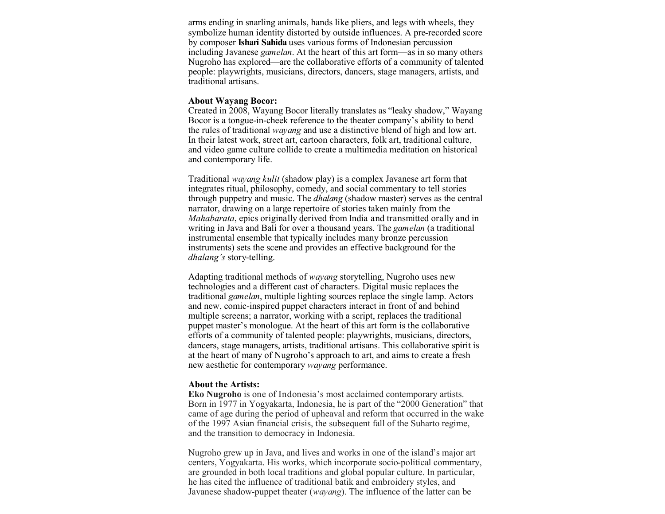arms ending in snarling animals, hands like pliers, and legs with wheels, they symbolize human identity distorted by outside influences. A pre-recorded score by composer **Ishari Sahida** uses various forms of Indonesian percussion including Javanese *gamelan*. At the heart of this art form—as in so many others Nugroho has explored—are the collaborative efforts of a community of talented people: playwrights, musicians, directors, dancers, stage managers, artists, and traditional artisans.

#### **About Wayang Bocor:**

Created in 2008, Wayang Bocor literally translates as "leaky shadow," Wayang Bocor is a tongue-in-cheek reference to the theater company's ability to bend the rules of traditional *wayang* and use a distinctive blend of high and low art. In their latest work, street art, cartoon characters, folk art, traditional culture, and video game culture collide to create a multimedia meditation on historical and contemporary life.

Traditional *wayang kulit* (shadow play) is a complex Javanese art form that integrates ritual, philosophy, comedy, and social commentary to tell stories through puppetry and music. The *dhalang* (shadow master) serves as the central narrator, drawing on a large repertoire of stories taken mainly from the *Mahabarata*, epics originally derived from India and transmitted orally and in writing in Java and Bali for over a thousand years. The *gamelan* (a traditional instrumental ensemble that typically includes many bronze percussion instruments) sets the scene and provides an effective background for the *dhalang's* story-telling.

Adapting traditional methods of *wayang* storytelling, Nugroho uses new technologies and a different cast of characters. Digital music replaces the traditional *gamelan*, multiple lighting sources replace the single lamp. Actors and new, comic-inspired puppet characters interact in front of and behind multiple screens; a narrator, working with a script, replaces the traditional puppet master's monologue. At the heart of this art form is the collaborative efforts of a community of talented people: playwrights, musicians, directors, dancers, stage managers, artists, traditional artisans. This collaborative spirit is at the heart of many of Nugroho's approach to art, and aims to create a fresh new aesthetic for contemporary *wayang* performance.

#### **About the Artists:**

**Eko Nugroho** is one of Indonesia's most acclaimed contemporary artists. Born in 1977 in Yogyakarta, Indonesia, he is part of the "2000 Generation" that came of age during the period of upheaval and reform that occurred in the wake of the 1997 Asian financial crisis, the subsequent fall of the Suharto regime, and the transition to democracy in Indonesia.

Nugroho grew up in Java, and lives and works in one of the island's major art centers, Yogyakarta. His works, which incorporate socio-political commentary, are grounded in both local traditions and global popular culture. In particular, he has cited the influence of traditional batik and embroidery styles, and Javanese shadow-puppet theater (*wayang*). The influence of the latter can be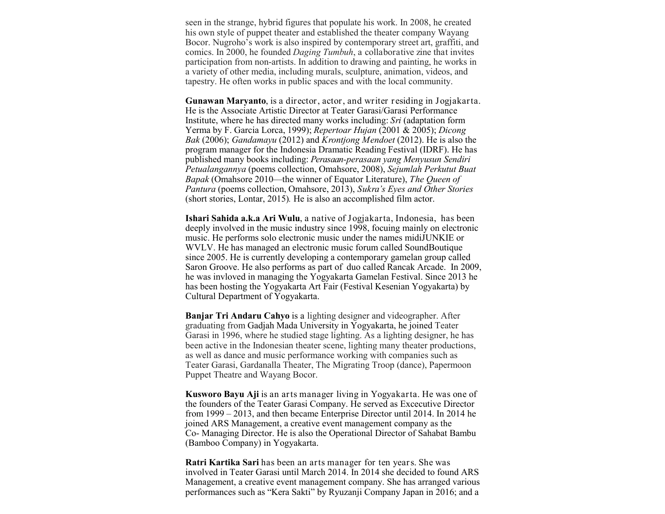seen in the strange, hybrid figures that populate his work. In 2008, he created his own style of puppet theater and established the theater company Wayang Bocor. Nugroho's work is also inspired by contemporary street art, graffiti, and comics. In 2000, he founded *Daging Tumbuh*, a collaborative zine that invites participation from non-artists. In addition to drawing and painting, he works in a variety of other media, including murals, sculpture, animation, videos, and tapestry. He often works in public spaces and with the local community.

**Gunawan Maryanto**, is a director, actor, and writer residing in Jogjakarta. He is the Associate Artistic Director at Teater Garasi/Garasi Performance Institute, where he has directed many works including: *Sri* (adaptation form Yerma by F. Garcia Lorca, 1999); *Repertoar Hujan* (2001 & 2005); *Dicong Bak* (2006); *Gandamayu* (2012) and *Krontjong Mendoet* (2012). He is also the program manager for the Indonesia Dramatic Reading Festival (IDRF). He has published many books including: *Perasaan-perasaan yang Menyusun Sendiri Petualangannya* (poems collection, Omahsore, 2008), *Sejumlah Perkutut Buat Bapak* (Omahsore 2010—the winner of Equator Literature), *The Queen of Pantura* (poems collection, Omahsore, 2013), *Sukra's Eyes and Other Stories*  (short stories, Lontar, 2015)*.* He is also an accomplished film actor.

**Ishari Sahida a.k.a Ari Wulu**, a native of Jogjakarta, Indonesia, has been deeply involved in the music industry since 1998, focuing mainly on electronic music. He performs solo electronic music under the names midiJUNKIE or WVLV. He has managed an electronic music forum called SoundBoutique since 2005. He is currently developing a contemporary gamelan group called Saron Groove. He also performs as part of duo called Rancak Arcade. In 2009, he was invloved in managing the Yogyakarta Gamelan Festival. Since 2013 he has been hosting the Yogyakarta Art Fair (Festival Kesenian Yogyakarta) by Cultural Department of Yogyakarta.

**Banjar Tri Andaru Cahyo** is a lighting designer and videographer. After graduating from Gadjah Mada University in Yogyakarta, he joined Teater Garasi in 1996, where he studied stage lighting. As a lighting designer, he has been active in the Indonesian theater scene, lighting many theater productions, as well as dance and music performance working with companies such as Teater Garasi, Gardanalla Theater, The Migrating Troop (dance), Papermoon Puppet Theatre and Wayang Bocor.

**Kusworo Bayu Aji** is an arts manager living in Yogyakarta. He was one of the founders of the Teater Garasi Company. He served as Excecutive Director from 1999 – 2013, and then became Enterprise Director until 2014. In 2014 he joined ARS Management, a creative event management company as the Co- Managing Director. He is also the Operational Director of Sahabat Bambu (Bamboo Company) in Yogyakarta.

**Ratri Kartika Sari** has been an arts manager for ten years. She was involved in Teater Garasi until March 2014. In 2014 she decided to found ARS Management, a creative event management company. She has arranged various performances such as "Kera Sakti" by Ryuzanji Company Japan in 2016; and a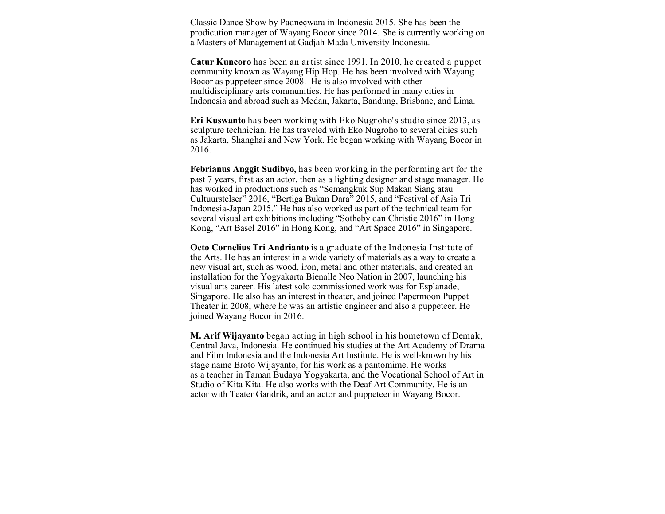Classic Dance Show by Padneçwara in Indonesia 2015. She has been the prodicution manager of Wayang Bocor since 2014. She is currently working on a Masters of Management at Gadjah Mada University Indonesia.

**Catur Kuncoro** has been an artist since 1991. In 2010, he created a puppet community known as Wayang Hip Hop. He has been involved with Wayang Bocor as puppeteer since 2008. He is also involved with other multidisciplinary arts communities. He has performed in many cities in Indonesia and abroad such as Medan, Jakarta, Bandung, Brisbane, and Lima.

**Eri Kuswanto** has been working with Eko Nugroho's studio since 2013, as sculpture technician. He has traveled with Eko Nugroho to several cities such as Jakarta, Shanghai and New York. He began working with Wayang Bocor in 2016.

**Febrianus Anggit Sudibyo**, has been working in the performing art for the past 7 years, first as an actor, then as a lighting designer and stage manager. He has worked in productions such as "Semangkuk Sup Makan Siang atau Cultuurstelser" 2016, "Bertiga Bukan Dara" 2015, and "Festival of Asia Tri Indonesia-Japan 2015." He has also worked as part of the technical team for several visual art exhibitions including "Sotheby dan Christie 2016" in Hong Kong, "Art Basel 2016" in Hong Kong, and "Art Space 2016" in Singapore.

**Octo Cornelius Tri Andrianto** is a graduate of the Indonesia Institute of the Arts. He has an interest in a wide variety of materials as a way to create a new visual art, such as wood, iron, metal and other materials, and created an installation for the Yogyakarta Bienalle Neo Nation in 2007, launching his visual arts career. His latest solo commissioned work was for Esplanade, Singapore. He also has an interest in theater, and joined Papermoon Puppet Theater in 2008, where he was an artistic engineer and also a puppeteer. He joined Wayang Bocor in 2016.

**M. Arif Wijayanto** began acting in high school in his hometown of Demak, Central Java, Indonesia. He continued his studies at the Art Academy of Drama and Film Indonesia and the Indonesia Art Institute. He is well-known by his stage name Broto Wijayanto, for his work as a pantomime. He works as a teacher in Taman Budaya Yogyakarta, and the Vocational School of Art in Studio of Kita Kita. He also works with the Deaf Art Community. He is an actor with Teater Gandrik, and an actor and puppeteer in Wayang Bocor.